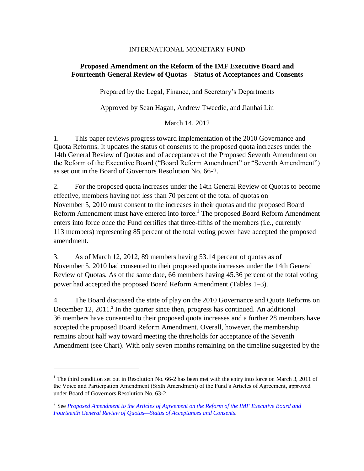## INTERNATIONAL MONETARY FUND

## **Proposed Amendment on the Reform of the IMF Executive Board and Fourteenth General Review of Quotas—Status of Acceptances and Consents**

Prepared by the Legal, Finance, and Secretary's Departments

Approved by Sean Hagan, Andrew Tweedie, and Jianhai Lin

March 14, 2012

1. This paper reviews progress toward implementation of the 2010 Governance and Quota Reforms. It updates the status of consents to the proposed quota increases under the 14th General Review of Quotas and of acceptances of the Proposed Seventh Amendment on the Reform of the Executive Board ("Board Reform Amendment" or "Seventh Amendment") as set out in the Board of Governors Resolution No. 66-2.

2. For the proposed quota increases under the 14th General Review of Quotas to become effective, members having not less than 70 percent of the total of quotas on November 5, 2010 must consent to the increases in their quotas and the proposed Board Reform Amendment must have entered into force.<sup>1</sup> The proposed Board Reform Amendment enters into force once the Fund certifies that three-fifths of the members (i.e., currently 113 members) representing 85 percent of the total voting power have accepted the proposed amendment.

3. As of March 12, 2012, 89 members having 53.14 percent of quotas as of November 5, 2010 had consented to their proposed quota increases under the 14th General Review of Quotas. As of the same date, 66 members having 45.36 percent of the total voting power had accepted the proposed Board Reform Amendment (Tables 1–3).

4. The Board discussed the state of play on the 2010 Governance and Quota Reforms on December 12, 2011.<sup>2</sup> In the quarter since then, progress has continued. An additional 36 members have consented to their proposed quota increases and a further 28 members have accepted the proposed Board Reform Amendment. Overall, however, the membership remains about half way toward meeting the thresholds for acceptance of the Seventh Amendment (see Chart). With only seven months remaining on the timeline suggested by the

 $\overline{a}$ 

<sup>&</sup>lt;sup>1</sup> The third condition set out in Resolution No. 66-2 has been met with the entry into force on March 3, 2011 of the Voice and Participation Amendment (Sixth Amendment) of the Fund's Articles of Agreement, approved under Board of Governors Resolution No. 63-2.

<sup>&</sup>lt;sup>2</sup> See *Proposed Amendment to the Articles of Agreement on the Reform of the IMF Executive Board and [Fourteenth General Review of Quotas—Status of Acceptances and Consents](http://www.imf.org/external/np/pp/eng/2011/121311.pdf)*.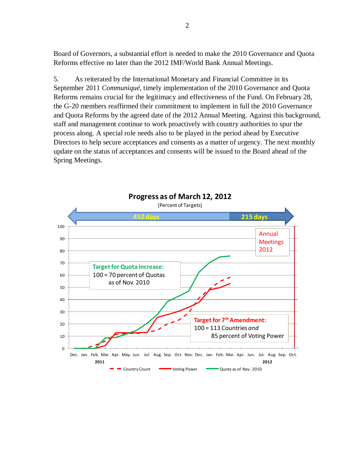Board of Governors, a substantial effort is needed to make the 2010 Governance and Quota Reforms effective no later than the 2012 IMF/World Bank Annual Meetings.

5. As reiterated by the International Monetary and Financial Committee in its September 2011 *Communiqué*, timely implementation of the 2010 Governance and Quota Reforms remains crucial for the legitimacy and effectiveness of the Fund. On February 28, the G-20 members reaffirmed their commitment to implement in full the 2010 Governance and Quota Reforms by the agreed date of the 2012 Annual Meeting. Against this background, staff and management continue to work proactively with country authorities to spur the process along. A special role needs also to be played in the period ahead by Executive Directors to help secure acceptances and consents as a matter of urgency. The next monthly update on the status of acceptances and consents will be issued to the Board ahead of the Spring Meetings.

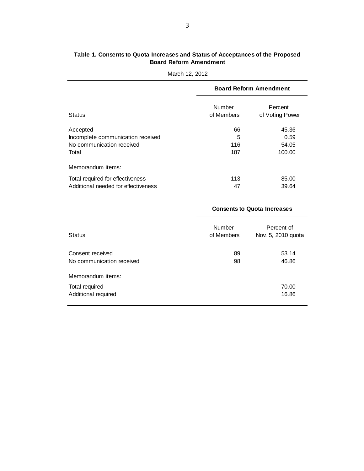## **Table 1. Consents to Quota Increases and Status of Acceptances of the Proposed Board Reform Amendment**

|                                     | <b>Board Reform Amendment</b> |                            |  |
|-------------------------------------|-------------------------------|----------------------------|--|
| <b>Status</b>                       | Number<br>of Members          | Percent<br>of Voting Power |  |
| Accepted                            | 66                            | 45.36                      |  |
| Incomplete communication received   | 5                             | 0.59                       |  |
| No communication received           | 116                           | 54.05                      |  |
| Total                               | 187                           | 100.00                     |  |
| Memorandum items:                   |                               |                            |  |
| Total required for effectiveness    | 113                           | 85.00                      |  |
| Additional needed for effectiveness | 47                            | 39.64                      |  |

### March 12, 2012

|                                               | <b>Consents to Quota Increases</b> |                                  |  |
|-----------------------------------------------|------------------------------------|----------------------------------|--|
| <b>Status</b>                                 | <b>Number</b><br>of Members        | Percent of<br>Nov. 5, 2010 quota |  |
| Consent received<br>No communication received | 89<br>98                           | 53.14<br>46.86                   |  |
| Memorandum items:                             |                                    |                                  |  |
| Total required<br>Additional required         |                                    | 70.00<br>16.86                   |  |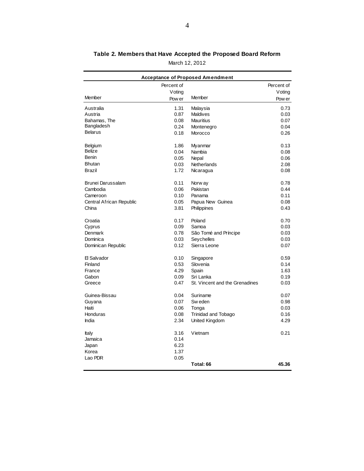| <b>Acceptance of Proposed Amendment</b> |            |                                |            |
|-----------------------------------------|------------|--------------------------------|------------|
|                                         | Percent of |                                | Percent of |
|                                         | Voting     |                                | Voting     |
| <b>Member</b>                           | Pow er     | Member                         | Pow er     |
| Australia                               | 1.31       | Malaysia                       | 0.73       |
| Austria                                 | 0.87       | <b>Maldives</b>                | 0.03       |
| Bahamas, The                            | 0.08       | Mauritius                      | 0.07       |
| Bangladesh                              | 0.24       | Montenegro                     | 0.04       |
| <b>Belarus</b>                          | 0.18       | Morocco                        | 0.26       |
| Belgium                                 | 1.86       | Myanmar                        | 0.13       |
| <b>Belize</b>                           | 0.04       | Nambia                         | 0.08       |
| Benin                                   | 0.05       | Nepal                          | 0.06       |
| <b>Bhutan</b>                           | 0.03       | Netherlands                    | 2.08       |
| Brazil                                  | 1.72       | Nicaragua                      | 0.08       |
| Brunei Darussalam                       | 0.11       | Norw ay                        | 0.78       |
| Cambodia                                | 0.06       | Pakistan                       | 0.44       |
| Cameroon                                | 0.10       | Panama                         | 0.11       |
| Central African Republic                | 0.05       | Papua New Guinea               | 0.08       |
| China                                   | 3.81       | Philippines                    | 0.43       |
| Croatia                                 | 0.17       | Poland                         | 0.70       |
| Cyprus                                  | 0.09       | Samoa                          | 0.03       |
| Denmark                                 | 0.78       | São Tomé and Príncipe          | 0.03       |
| Dominica                                | 0.03       | Seychelles                     | 0.03       |
| Dominican Republic                      | 0.12       | Sierra Leone                   | 0.07       |
| El Salvador                             | 0.10       | Singapore                      | 0.59       |
| Finland                                 | 0.53       | Slovenia                       | 0.14       |
| France                                  | 4.29       | Spain                          | 1.63       |
| Gabon                                   | 0.09       | Sri Lanka                      | 0.19       |
| Greece                                  | 0.47       | St. Vincent and the Grenadines | 0.03       |
| Guinea-Bissau                           | 0.04       | Suriname                       | 0.07       |
| Guyana                                  | 0.07       | Sw eden                        | 0.98       |
| Haiti                                   | 0.06       | Tonga                          | 0.03       |
| Honduras                                | 0.08       | <b>Trinidad and Tobago</b>     | 0.16       |
| India                                   | 2.34       | United Kingdom                 | 4.29       |
| Italy                                   | 3.16       | Vietnam                        | 0.21       |
| Jamaica                                 | 0.14       |                                |            |
| Japan                                   | 6.23       |                                |            |
| Korea                                   | 1.37       |                                |            |
| Lao PDR                                 | 0.05       |                                |            |
|                                         |            | Total: 66                      | 45.36      |

# **Table 2. Members that Have Accepted the Proposed Board Reform**

March 12, 2012